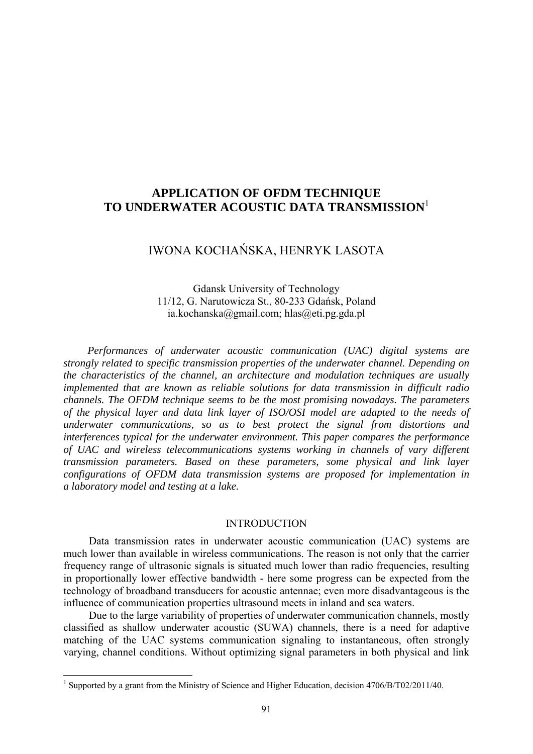# **APPLICATION OF OFDM TECHNIQUE TO UNDERWATER ACOUSTIC DATA TRANSMISSION**<sup>1</sup>

## IWONA KOCHAŃSKA, HENRYK LASOTA

Gdansk University of Technology 11/12, G. Narutowicza St., 80-233 Gdańsk, Poland ia.kochanska@gmail.com; hlas@eti.pg.gda.pl

*Performances of underwater acoustic communication (UAC) digital systems are strongly related to specific transmission properties of the underwater channel. Depending on the characteristics of the channel, an architecture and modulation techniques are usually implemented that are known as reliable solutions for data transmission in difficult radio channels. The OFDM technique seems to be the most promising nowadays. The parameters of the physical layer and data link layer of ISO/OSI model are adapted to the needs of underwater communications, so as to best protect the signal from distortions and interferences typical for the underwater environment. This paper compares the performance of UAC and wireless telecommunications systems working in channels of vary different transmission parameters. Based on these parameters, some physical and link layer configurations of OFDM data transmission systems are proposed for implementation in a laboratory model and testing at a lake.* 

## INTRODUCTION

Data transmission rates in underwater acoustic communication (UAC) systems are much lower than available in wireless communications. The reason is not only that the carrier frequency range of ultrasonic signals is situated much lower than radio frequencies, resulting in proportionally lower effective bandwidth - here some progress can be expected from the technology of broadband transducers for acoustic antennae; even more disadvantageous is the influence of communication properties ultrasound meets in inland and sea waters.

Due to the large variability of properties of underwater communication channels, mostly classified as shallow underwater acoustic (SUWA) channels, there is a need for adaptive matching of the UAC systems communication signaling to instantaneous, often strongly varying, channel conditions. Without optimizing signal parameters in both physical and link

 1 Supported by a grant from the Ministry of Science and Higher Education, decision 4706/B/T02/2011/40.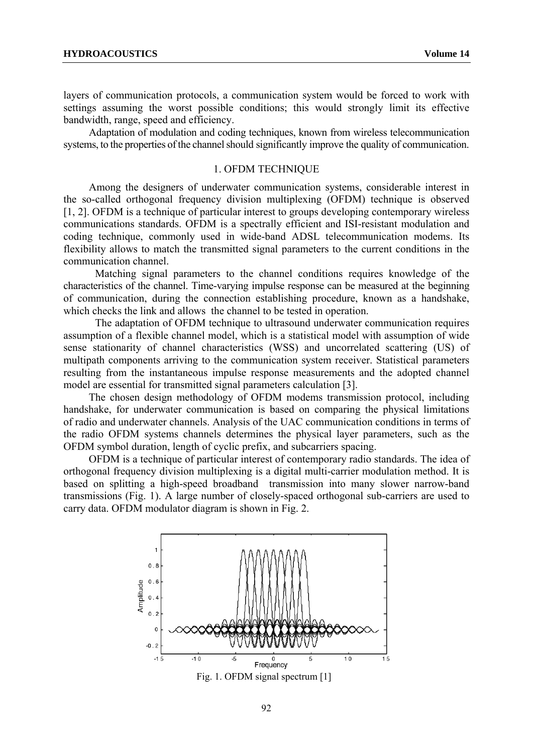layers of communication protocols, a communication system would be forced to work with settings assuming the worst possible conditions; this would strongly limit its effective bandwidth, range, speed and efficiency.

Adaptation of modulation and coding techniques, known from wireless telecommunication systems, to the properties of the channel should significantly improve the quality of communication.

### 1. OFDM TECHNIQUE

Among the designers of underwater communication systems, considerable interest in the so-called orthogonal frequency division multiplexing (OFDM) technique is observed [1, 2]. OFDM is a technique of particular interest to groups developing contemporary wireless communications standards. OFDM is a spectrally efficient and ISI-resistant modulation and coding technique, commonly used in wide-band ADSL telecommunication modems. Its flexibility allows to match the transmitted signal parameters to the current conditions in the communication channel.

Matching signal parameters to the channel conditions requires knowledge of the characteristics of the channel. Time-varying impulse response can be measured at the beginning of communication, during the connection establishing procedure, known as a handshake, which checks the link and allows the channel to be tested in operation.

The adaptation of OFDM technique to ultrasound underwater communication requires assumption of a flexible channel model, which is a statistical model with assumption of wide sense stationarity of channel characteristics (WSS) and uncorrelated scattering (US) of multipath components arriving to the communication system receiver. Statistical parameters resulting from the instantaneous impulse response measurements and the adopted channel model are essential for transmitted signal parameters calculation [3].

The chosen design methodology of OFDM modems transmission protocol, including handshake, for underwater communication is based on comparing the physical limitations of radio and underwater channels. Analysis of the UAC communication conditions in terms of the radio OFDM systems channels determines the physical layer parameters, such as the OFDM symbol duration, length of cyclic prefix, and subcarriers spacing.

OFDM is a technique of particular interest of contemporary radio standards. The idea of orthogonal frequency division multiplexing is a digital multi-carrier modulation method. It is based on splitting a high-speed broadband transmission into many slower narrow-band transmissions (Fig. 1). A large number of closely-spaced orthogonal sub-carriers are used to carry data. OFDM modulator diagram is shown in Fig. 2.



92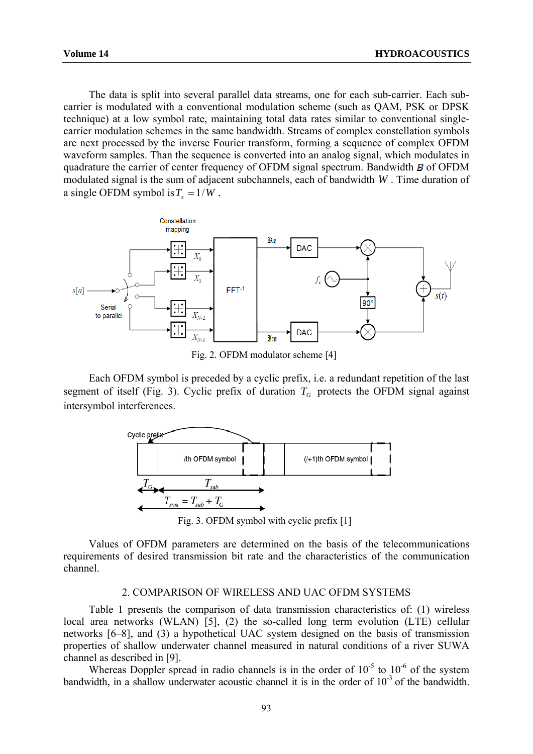The data is split into several parallel data streams, one for each sub-carrier. Each subcarrier is modulated with a conventional modulation scheme (such as QAM, PSK or DPSK technique) at a low symbol rate, maintaining total data rates similar to conventional singlecarrier modulation schemes in the same bandwidth. Streams of complex constellation symbols are next processed by the inverse Fourier transform, forming a sequence of complex OFDM waveform samples. Than the sequence is converted into an analog signal, which modulates in quadrature the carrier of center frequency of OFDM signal spectrum. Bandwidth  $\bf{B}$  of OFDM modulated signal is the sum of adjacent subchannels, each of bandwidth *W* . Time duration of a single OFDM symbol is  $T_s = 1/W$ .



Fig. 2. OFDM modulator scheme [4]

Each OFDM symbol is preceded by a cyclic prefix, i.e. a redundant repetition of the last segment of itself (Fig. 3). Cyclic prefix of duration  $T_G$  protects the OFDM signal against intersymbol interferences.



Fig. 3. OFDM symbol with cyclic prefix [1]

Values of OFDM parameters are determined on the basis of the telecommunications requirements of desired transmission bit rate and the characteristics of the communication channel.

#### 2. COMPARISON OF WIRELESS AND UAC OFDM SYSTEMS

Table 1 presents the comparison of data transmission characteristics of: (1) wireless local area networks (WLAN) [5], (2) the so-called long term evolution (LTE) cellular networks [6–8], and (3) a hypothetical UAC system designed on the basis of transmission properties of shallow underwater channel measured in natural conditions of a river SUWA channel as described in [9].

Whereas Doppler spread in radio channels is in the order of  $10^{-5}$  to  $10^{-6}$  of the system bandwidth, in a shallow underwater acoustic channel it is in the order of  $10^{-3}$  of the bandwidth.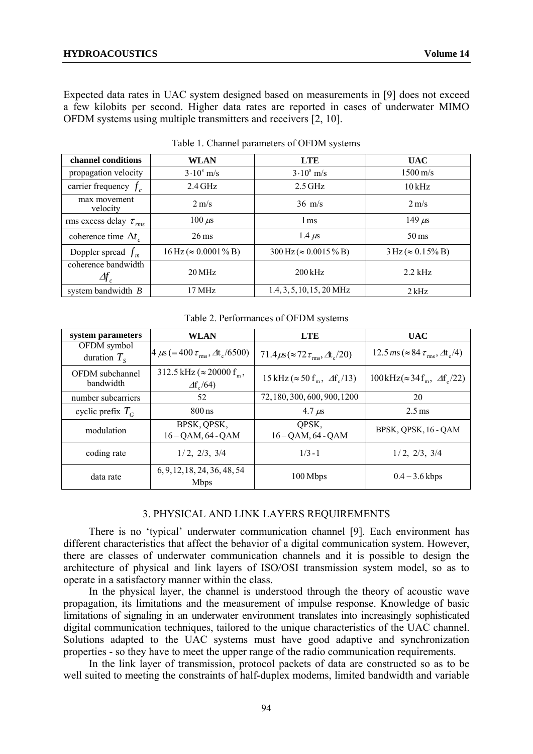Expected data rates in UAC system designed based on measurements in [9] does not exceed a few kilobits per second. Higher data rates are reported in cases of underwater MIMO OFDM systems using multiple transmitters and receivers [2, 10].

| channel conditions                          | <b>WLAN</b>                                  | <b>LTE</b>                             | <b>UAC</b>                                |
|---------------------------------------------|----------------------------------------------|----------------------------------------|-------------------------------------------|
| propagation velocity                        | $3.10^8$ m/s                                 | $3.10^8$ m/s                           | $1500 \,\mathrm{m/s}$                     |
| carrier frequency $f_c$                     | $2.4$ GHz                                    | $2.5$ GHz                              | $10\,\mathrm{kHz}$                        |
| max movement<br>velocity                    | $2 \text{ m/s}$                              | $36 \text{ m/s}$                       | $2 \text{ m/s}$                           |
| rms excess delay $\tau_{rms}$               | $100 \mu s$                                  | 1 ms                                   | 149 $\mu$ s                               |
| coherence time $\Delta t_c$                 | $26 \,\mathrm{ms}$                           | $1.4 \mu s$                            | $50 \,\mathrm{ms}$                        |
| Doppler spread $f_m$                        | $16 \text{ Hz} (\approx 0.0001\% \text{ B})$ | $300 \text{ Hz} (\approx 0.0015 \% B)$ | $3 \text{ Hz} (\approx 0.15\% \text{ B})$ |
| coherence bandwidth<br>$\varDelta\!\!f_{c}$ | 20 MHz                                       | $200$ kHz                              | $2.2$ kHz                                 |
| system bandwidth $B$                        | 17 MHz                                       | $1.4, 3, 5, 10, 15, 20$ MHz            | $2$ kHz                                   |

Table 1. Channel parameters of OFDM systems

Table 2. Performances of OFDM systems

| system parameters                   | <b>WLAN</b>                                                     | <b>LTE</b>                                                         | <b>UAC</b>                                                                          |
|-------------------------------------|-----------------------------------------------------------------|--------------------------------------------------------------------|-------------------------------------------------------------------------------------|
| OFDM symbol<br>duration $T_s$       | $4 \mu s (= 400 \tau_{\text{rms}}, \Delta t_c / 6500)$          | 71.4 $\mu$ s (≈72 $\tau_{\rm rms}$ , $\Delta t_{\rm c}$ /20)       | 12.5 ms ( $\approx 84 \tau_{\rm rms}$ , $\Delta t_{\rm c}/4$ )                      |
| <b>OFDM</b> subchannel<br>bandwidth | 312.5 kHz ( $\approx$ 20000 f <sub>m</sub> ,<br>$\Delta f_c/64$ | $15 \text{ kHz} (\approx 50 \text{ f}_{\text{m}} , \Delta f_c/13)$ | $100\,\text{kHz}(\approx 34\,\text{f}_{\text{m}}$ , $\Delta\text{f}_{\text{c}}/22)$ |
| number subcarriers                  | 52                                                              | 72, 180, 300, 600, 900, 1200                                       | 20                                                                                  |
| cyclic prefix $T_c$                 | $800 \text{ ns}$                                                | 4.7 $\mu$ s                                                        | $2.5 \,\mathrm{ms}$                                                                 |
| modulation                          | BPSK, QPSK,<br>$16 - QAM$ , $64 - QAM$                          | OPSK.<br>$16 - QAM$ , 64 - QAM                                     | BPSK, QPSK, 16 - QAM                                                                |
| coding rate                         | $1/2$ , $2/3$ , $3/4$                                           | $1/3 - 1$                                                          | $1/2$ , $2/3$ , $3/4$                                                               |
| data rate                           | 6, 9, 12, 18, 24, 36, 48, 54<br><b>Mbps</b>                     | 100 Mbps                                                           | $0.4 - 3.6$ kbps                                                                    |

## 3. PHYSICAL AND LINK LAYERS REQUIREMENTS

There is no 'typical' underwater communication channel [9]. Each environment has different characteristics that affect the behavior of a digital communication system. However, there are classes of underwater communication channels and it is possible to design the architecture of physical and link layers of ISO/OSI transmission system model, so as to operate in a satisfactory manner within the class.

In the physical layer, the channel is understood through the theory of acoustic wave propagation, its limitations and the measurement of impulse response. Knowledge of basic limitations of signaling in an underwater environment translates into increasingly sophisticated digital communication techniques, tailored to the unique characteristics of the UAC channel. Solutions adapted to the UAC systems must have good adaptive and synchronization properties - so they have to meet the upper range of the radio communication requirements.

In the link layer of transmission, protocol packets of data are constructed so as to be well suited to meeting the constraints of half-duplex modems, limited bandwidth and variable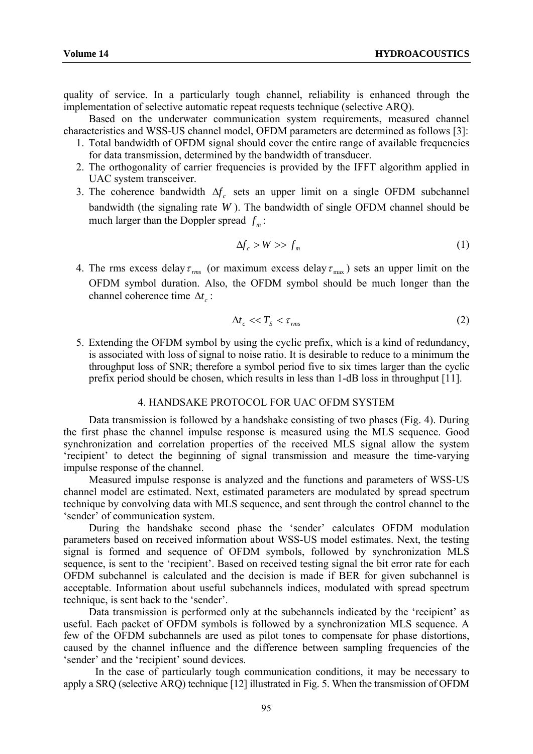quality of service. In a particularly tough channel, reliability is enhanced through the implementation of selective automatic repeat requests technique (selective ARQ).

Based on the underwater communication system requirements, measured channel characteristics and WSS-US channel model, OFDM parameters are determined as follows [3]:

- 1. Total bandwidth of OFDM signal should cover the entire range of available frequencies for data transmission, determined by the bandwidth of transducer.
- 2. The orthogonality of carrier frequencies is provided by the IFFT algorithm applied in UAC system transceiver.
- 3. The coherence bandwidth  $\Delta f_c$  sets an upper limit on a single OFDM subchannel bandwidth (the signaling rate *W* ). The bandwidth of single OFDM channel should be much larger than the Doppler spread  $f_m$ :

$$
\Delta f_c > W > f_m \tag{1}
$$

4. The rms excess delay  $\tau_{rms}$  (or maximum excess delay  $\tau_{max}$ ) sets an upper limit on the OFDM symbol duration. Also, the OFDM symbol should be much longer than the channel coherence time  $\Delta t_c$ :

$$
\Delta t_c \ll T_S < \tau_{\text{rms}} \tag{2}
$$

5. Extending the OFDM symbol by using the cyclic prefix, which is a kind of redundancy, is associated with loss of signal to noise ratio. It is desirable to reduce to a minimum the throughput loss of SNR; therefore a symbol period five to six times larger than the cyclic prefix period should be chosen, which results in less than 1-dB loss in throughput [11].

## 4. HANDSAKE PROTOCOL FOR UAC OFDM SYSTEM

Data transmission is followed by a handshake consisting of two phases (Fig. 4). During the first phase the channel impulse response is measured using the MLS sequence. Good synchronization and correlation properties of the received MLS signal allow the system 'recipient' to detect the beginning of signal transmission and measure the time-varying impulse response of the channel.

Measured impulse response is analyzed and the functions and parameters of WSS-US channel model are estimated. Next, estimated parameters are modulated by spread spectrum technique by convolving data with MLS sequence, and sent through the control channel to the 'sender' of communication system.

During the handshake second phase the 'sender' calculates OFDM modulation parameters based on received information about WSS-US model estimates. Next, the testing signal is formed and sequence of OFDM symbols, followed by synchronization MLS sequence, is sent to the 'recipient'. Based on received testing signal the bit error rate for each OFDM subchannel is calculated and the decision is made if BER for given subchannel is acceptable. Information about useful subchannels indices, modulated with spread spectrum technique, is sent back to the 'sender'.

Data transmission is performed only at the subchannels indicated by the 'recipient' as useful. Each packet of OFDM symbols is followed by a synchronization MLS sequence. A few of the OFDM subchannels are used as pilot tones to compensate for phase distortions, caused by the channel influence and the difference between sampling frequencies of the 'sender' and the 'recipient' sound devices.

In the case of particularly tough communication conditions, it may be necessary to apply a SRQ (selective ARQ) technique [12] illustrated in Fig. 5. When the transmission of OFDM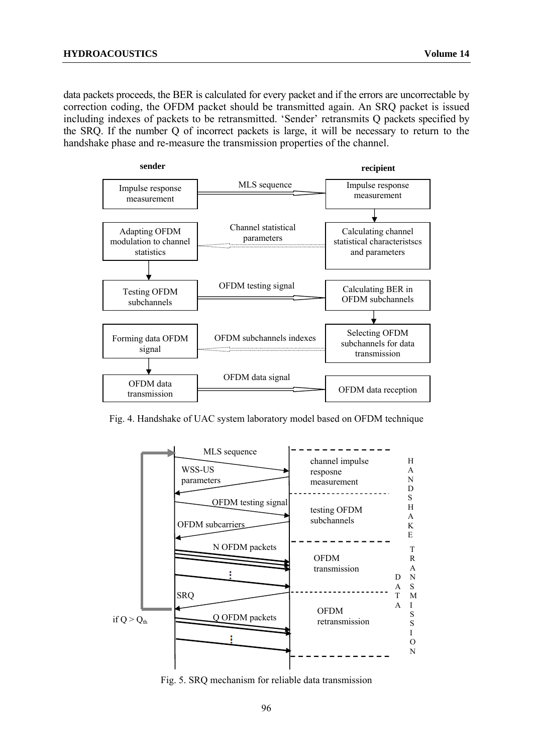data packets proceeds, the BER is calculated for every packet and if the errors are uncorrectable by correction coding, the OFDM packet should be transmitted again. An SRQ packet is issued including indexes of packets to be retransmitted. 'Sender' retransmits Q packets specified by the SRQ. If the number Q of incorrect packets is large, it will be necessary to return to the handshake phase and re-measure the transmission properties of the channel.



Fig. 4. Handshake of UAC system laboratory model based on OFDM technique



Fig. 5. SRQ mechanism for reliable data transmission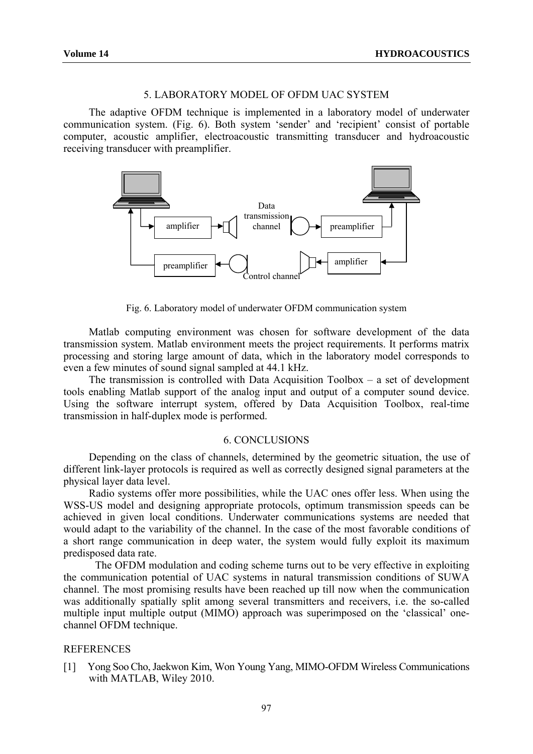## 5. LABORATORY MODEL OF OFDM UAC SYSTEM

The adaptive OFDM technique is implemented in a laboratory model of underwater communication system. (Fig. 6). Both system 'sender' and 'recipient' consist of portable computer, acoustic amplifier, electroacoustic transmitting transducer and hydroacoustic receiving transducer with preamplifier.



Fig. 6. Laboratory model of underwater OFDM communication system

Matlab computing environment was chosen for software development of the data transmission system. Matlab environment meets the project requirements. It performs matrix processing and storing large amount of data, which in the laboratory model corresponds to even a few minutes of sound signal sampled at 44.1 kHz.

The transmission is controlled with Data Acquisition  $Toolbox - a$  set of development tools enabling Matlab support of the analog input and output of a computer sound device. Using the software interrupt system, offered by Data Acquisition Toolbox, real-time transmission in half-duplex mode is performed.

### 6. CONCLUSIONS

Depending on the class of channels, determined by the geometric situation, the use of different link-layer protocols is required as well as correctly designed signal parameters at the physical layer data level.

Radio systems offer more possibilities, while the UAC ones offer less. When using the WSS-US model and designing appropriate protocols, optimum transmission speeds can be achieved in given local conditions. Underwater communications systems are needed that would adapt to the variability of the channel. In the case of the most favorable conditions of a short range communication in deep water, the system would fully exploit its maximum predisposed data rate.

The OFDM modulation and coding scheme turns out to be very effective in exploiting the communication potential of UAC systems in natural transmission conditions of SUWA channel. The most promising results have been reached up till now when the communication was additionally spatially split among several transmitters and receivers, i.e. the so-called multiple input multiple output (MIMO) approach was superimposed on the 'classical' onechannel OFDM technique.

#### REFERENCES

[1] Yong Soo Cho,Jaekwon Kim, Won Young Yang, MIMO-OFDM Wireless Communications with MATLAB, Wiley 2010.